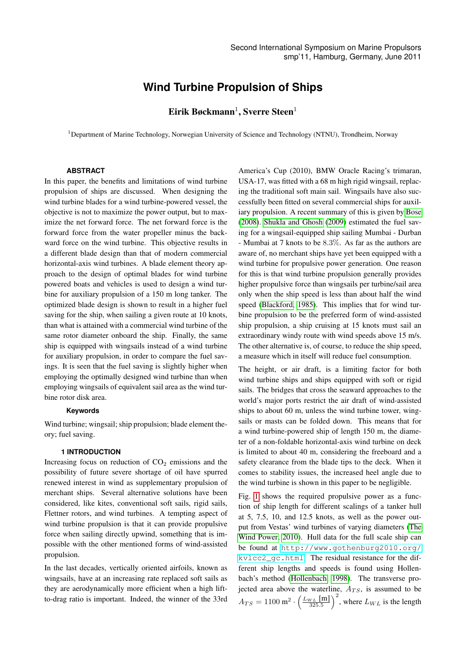# **Wind Turbine Propulsion of Ships**

# $E$ irik Bøckmann<sup>1</sup>, Sverre Steen<sup>1</sup>

<sup>1</sup>Department of Marine Technology, Norwegian University of Science and Technology (NTNU), Trondheim, Norway

#### **ABSTRACT**

In this paper, the benefits and limitations of wind turbine propulsion of ships are discussed. When designing the wind turbine blades for a wind turbine-powered vessel, the objective is not to maximize the power output, but to maximize the net forward force. The net forward force is the forward force from the water propeller minus the backward force on the wind turbine. This objective results in a different blade design than that of modern commercial horizontal-axis wind turbines. A blade element theory approach to the design of optimal blades for wind turbine powered boats and vehicles is used to design a wind turbine for auxiliary propulsion of a 150 m long tanker. The optimized blade design is shown to result in a higher fuel saving for the ship, when sailing a given route at 10 knots, than what is attained with a commercial wind turbine of the same rotor diameter onboard the ship. Finally, the same ship is equipped with wingsails instead of a wind turbine for auxiliary propulsion, in order to compare the fuel savings. It is seen that the fuel saving is slightly higher when employing the optimally designed wind turbine than when employing wingsails of equivalent sail area as the wind turbine rotor disk area.

### **Keywords**

Wind turbine; wingsail; ship propulsion; blade element theory; fuel saving.

#### **1 INTRODUCTION**

Increasing focus on reduction of  $CO<sub>2</sub>$  emissions and the possibility of future severe shortage of oil have spurred renewed interest in wind as supplementary propulsion of merchant ships. Several alternative solutions have been considered, like kites, conventional soft sails, rigid sails, Flettner rotors, and wind turbines. A tempting aspect of wind turbine propulsion is that it can provide propulsive force when sailing directly upwind, something that is impossible with the other mentioned forms of wind-assisted propulsion.

In the last decades, vertically oriented airfoils, known as wingsails, have at an increasing rate replaced soft sails as they are aerodynamically more efficient when a high liftto-drag ratio is important. Indeed, the winner of the 33rd

America's Cup (2010), BMW Oracle Racing's trimaran, USA-17, was fitted with a 68 m high rigid wingsail, replacing the traditional soft main sail. Wingsails have also successfully been fitted on several commercial ships for auxiliary propulsion. A recent summary of this is given by [Bose](#page-8-0) [\(2008\)](#page-8-0). [Shukla and Ghosh](#page-9-0) [\(2009\)](#page-9-0) estimated the fuel saving for a wingsail-equipped ship sailing Mumbai - Durban - Mumbai at 7 knots to be 8.3%. As far as the authors are aware of, no merchant ships have yet been equipped with a wind turbine for propulsive power generation. One reason for this is that wind turbine propulsion generally provides higher propulsive force than wingsails per turbine/sail area only when the ship speed is less than about half the wind speed [\(Blackford, 1985\)](#page-8-1). This implies that for wind turbine propulsion to be the preferred form of wind-assisted ship propulsion, a ship cruising at 15 knots must sail an extraordinary windy route with wind speeds above 15 m/s. The other alternative is, of course, to reduce the ship speed, a measure which in itself will reduce fuel consumption.

The height, or air draft, is a limiting factor for both wind turbine ships and ships equipped with soft or rigid sails. The bridges that cross the seaward approaches to the world's major ports restrict the air draft of wind-assisted ships to about 60 m, unless the wind turbine tower, wingsails or masts can be folded down. This means that for a wind turbine-powered ship of length 150 m, the diameter of a non-foldable horizontal-axis wind turbine on deck is limited to about 40 m, considering the freeboard and a safety clearance from the blade tips to the deck. When it comes to stability issues, the increased heel angle due to the wind turbine is shown in this paper to be negligible.

Fig. [1](#page-2-0) shows the required propulsive power as a function of ship length for different scalings of a tanker hull at 5, 7.5, 10, and 12.5 knots, as well as the power output from Vestas' wind turbines of varying diameters [\(The](#page-9-1) [Wind Power, 2010\)](#page-9-1). Hull data for the full scale ship can be found at [http://www.gothenburg2010.org/](http://www.gothenburg2010.org/kvlcc2_gc.html) [kvlcc2\\_gc.html](http://www.gothenburg2010.org/kvlcc2_gc.html). The residual resistance for the different ship lengths and speeds is found using Hollenbach's method [\(Hollenbach, 1998\)](#page-8-2). The transverse projected area above the waterline,  $A_{TS}$ , is assumed to be  $A_{TS} = 1100 \text{ m}^2 \cdot \left(\frac{L_{WL} \text{ [m]}}{325.5}\right)^2$ , where  $L_{WL}$  is the length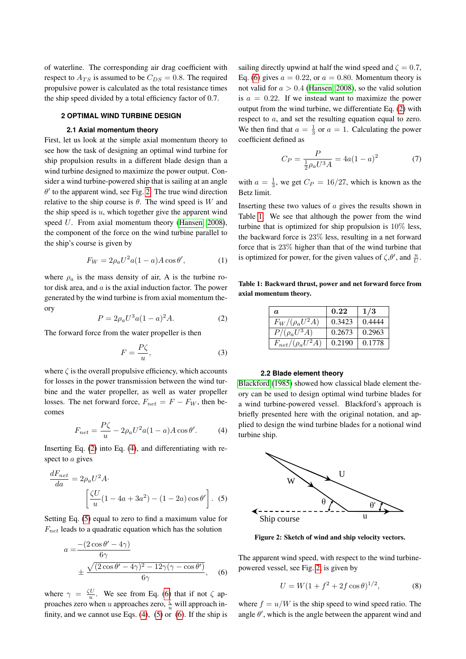of waterline. The corresponding air drag coefficient with respect to  $A_{TS}$  is assumed to be  $C_{DS} = 0.8$ . The required propulsive power is calculated as the total resistance times the ship speed divided by a total efficiency factor of 0.7.

#### **2 OPTIMAL WIND TURBINE DESIGN**

#### **2.1 Axial momentum theory**

First, let us look at the simple axial momentum theory to see how the task of designing an optimal wind turbine for ship propulsion results in a different blade design than a wind turbine designed to maximize the power output. Consider a wind turbine-powered ship that is sailing at an angle  $\theta'$  to the apparent wind, see Fig. [2.](#page-1-0) The true wind direction relative to the ship course is  $\theta$ . The wind speed is W and the ship speed is  $u$ , which together give the apparent wind speed U. From axial momentum theory [\(Hansen, 2008\)](#page-8-3), the component of the force on the wind turbine parallel to the ship's course is given by

<span id="page-1-8"></span>
$$
F_W = 2\rho_a U^2 a (1 - a) A \cos \theta',\tag{1}
$$

where  $\rho_a$  is the mass density of air, A is the turbine rotor disk area, and  $a$  is the axial induction factor. The power generated by the wind turbine is from axial momentum theory

<span id="page-1-1"></span>
$$
P = 2\rho_a U^3 a (1 - a)^2 A.
$$
 (2)

The forward force from the water propeller is then

$$
F = \frac{P\zeta}{u},\tag{3}
$$

where  $\zeta$  is the overall propulsive efficiency, which accounts for losses in the power transmission between the wind turbine and the water propeller, as well as water propeller losses. The net forward force,  $F_{net} = F - F_W$ , then becomes

<span id="page-1-2"></span>
$$
F_{net} = \frac{P\zeta}{u} - 2\rho_a U^2 a (1 - a) A \cos \theta'. \tag{4}
$$

Inserting Eq. [\(2\)](#page-1-1) into Eq. [\(4\)](#page-1-2), and differentiating with respect to a gives

$$
\frac{dF_{net}}{da} = 2\rho_a U^2 A \cdot \left[\frac{\zeta U}{u}(1 - 4a + 3a^2) - (1 - 2a)\cos\theta'\right].
$$
 (5)

Setting Eq. [\(5\)](#page-1-3) equal to zero to find a maximum value for  $F_{net}$  leads to a quadratic equation which has the solution

$$
a = \frac{-(2\cos\theta' - 4\gamma)}{6\gamma} \pm \frac{\sqrt{(2\cos\theta' - 4\gamma)^2 - 12\gamma(\gamma - \cos\theta')}}{6\gamma}, \quad (6)
$$

where  $\gamma = \frac{\zeta U}{u}$ . We see from Eq. [\(6\)](#page-1-4) that if not  $\zeta$  approaches zero when u approaches zero,  $\frac{\zeta}{u}$  will approach infinity, and we cannot use Eqs.  $(4)$ ,  $(5)$  or  $(6)$ . If the ship is

sailing directly upwind at half the wind speed and  $\zeta = 0.7$ , Eq. [\(6\)](#page-1-4) gives  $a = 0.22$ , or  $a = 0.80$ . Momentum theory is not valid for  $a > 0.4$  [\(Hansen, 2008\)](#page-8-3), so the valid solution is  $a = 0.22$ . If we instead want to maximize the power output from the wind turbine, we differentiate Eq. [\(2\)](#page-1-1) with respect to a, and set the resulting equation equal to zero. We then find that  $a = \frac{1}{3}$  or  $a = 1$ . Calculating the power coefficient defined as

<span id="page-1-7"></span>
$$
C_P = \frac{P}{\frac{1}{2}\rho_a U^3 A} = 4a(1-a)^2 \tag{7}
$$

with  $a = \frac{1}{3}$ , we get  $C_P = 16/27$ , which is known as the Betz limit.

Inserting these two values of a gives the results shown in Table [1.](#page-1-5) We see that although the power from the wind turbine that is optimized for ship propulsion is 10% less, the backward force is 23% less, resulting in a net forward force that is 23% higher than that of the wind turbine that is optimized for power, for the given values of  $\zeta, \theta'$ , and  $\frac{u}{U}$ .

<span id="page-1-5"></span>Table 1: Backward thrust, power and net forward force from axial momentum theory.

| a                        | 0.22   | 1/3    |
|--------------------------|--------|--------|
| $F_W/(\rho_a U^2 A)$     | 0.3423 | 0.4444 |
| $P/(\rho_a U^3 A)$       | 0.2673 | 0.2963 |
| $F_{net}/(\rho_a U^2 A)$ | 0.2190 | 0.1778 |

# **2.2 Blade element theory**

[Blackford](#page-8-1) [\(1985\)](#page-8-1) showed how classical blade element theory can be used to design optimal wind turbine blades for a wind turbine-powered vessel. Blackford's approach is briefly presented here with the original notation, and applied to design the wind turbine blades for a notional wind turbine ship.

<span id="page-1-3"></span><span id="page-1-0"></span>

Figure 2: Sketch of wind and ship velocity vectors.

<span id="page-1-4"></span>The apparent wind speed, with respect to the wind turbinepowered vessel, see Fig. [2,](#page-1-0) is given by

<span id="page-1-6"></span>
$$
U = W(1 + f^2 + 2f\cos\theta)^{1/2},\tag{8}
$$

where  $f = u/W$  is the ship speed to wind speed ratio. The angle  $\theta'$ , which is the angle between the apparent wind and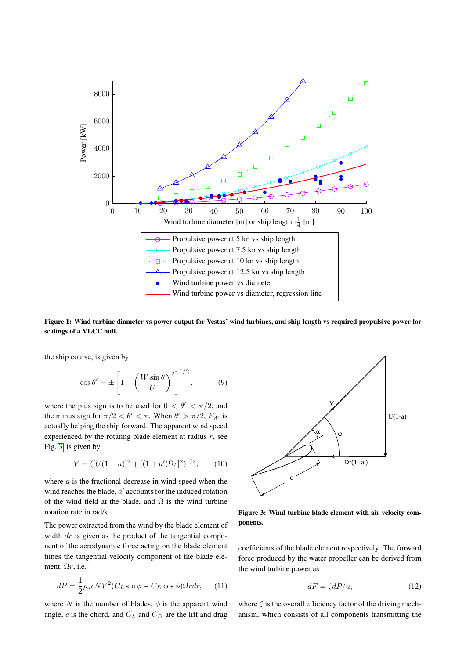<span id="page-2-0"></span>

Figure 1: Wind turbine diameter vs power output for Vestas' wind turbines, and ship length vs required propulsive power for scalings of a VLCC hull.

the ship course, is given by

<span id="page-2-4"></span>
$$
\cos \theta' = \pm \left[ 1 - \left( \frac{W \sin \theta}{U} \right)^2 \right]^{1/2}, \quad (9)
$$

where the plus sign is to be used for  $0 < \theta' < \pi/2$ , and the minus sign for  $\pi/2 < \theta' < \pi$ . When  $\theta' > \pi/2$ ,  $F_W$  is actually helping the ship forward. The apparent wind speed experienced by the rotating blade element at radius  $r$ , see Fig. [3,](#page-2-1) is given by

$$
V = ([U(1-a)]^2 + [(1+a')\Omega r]^2)^{1/2}, \qquad (10)
$$

where  $\alpha$  is the fractional decrease in wind speed when the wind reaches the blade,  $a'$  accounts for the induced rotation of the wind field at the blade, and  $\Omega$  is the wind turbine rotation rate in rad/s.

The power extracted from the wind by the blade element of width  $dr$  is given as the product of the tangential component of the aerodynamic force acting on the blade element times the tangential velocity component of the blade element,  $\Omega r$ , i.e.

<span id="page-2-2"></span>
$$
dP = \frac{1}{2}\rho_a cNV^2 (C_L \sin \phi - C_D \cos \phi) \Omega r dr, \qquad (11)
$$

where N is the number of blades,  $\phi$  is the apparent wind angle, c is the chord, and  $C_L$  and  $C_D$  are the lift and drag

<span id="page-2-1"></span>

Figure 3: Wind turbine blade element with air velocity components.

coefficients of the blade element respectively. The forward force produced by the water propeller can be derived from the wind turbine power as

<span id="page-2-3"></span>
$$
dF = \zeta dP/u,\t(12)
$$

where  $\zeta$  is the overall efficiency factor of the driving mechanism, which consists of all components transmitting the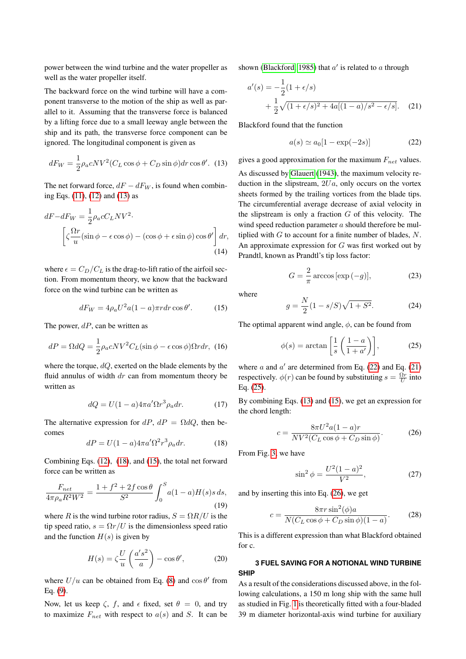power between the wind turbine and the water propeller as well as the water propeller itself.

The backward force on the wind turbine will have a component transverse to the motion of the ship as well as parallel to it. Assuming that the transverse force is balanced by a lifting force due to a small leeway angle between the ship and its path, the transverse force component can be ignored. The longitudinal component is given as

<span id="page-3-0"></span>
$$
dF_W = \frac{1}{2}\rho_a cNV^2 (C_L \cos\phi + C_D \sin\phi) dr \cos\theta'.
$$
 (13)

The net forward force,  $dF - dF_W$ , is found when combining Eqs. [\(11\)](#page-2-2), [\(12\)](#page-2-3) and [\(13\)](#page-3-0) as

$$
dF - dF_W = \frac{1}{2}\rho_a c C_L N V^2.
$$
  

$$
\left[\zeta \frac{\Omega r}{u} (\sin \phi - \epsilon \cos \phi) - (\cos \phi + \epsilon \sin \phi) \cos \theta'\right] dr,
$$
  
(14)

where  $\epsilon = C_D/C_L$  is the drag-to-lift ratio of the airfoil section. From momentum theory, we know that the backward force on the wind turbine can be written as

<span id="page-3-2"></span>
$$
dF_W = 4\rho_a U^2 a (1 - a)\pi r dr \cos \theta'. \tag{15}
$$

The power,  $dP$ , can be written as

$$
dP = \Omega dQ = \frac{1}{2}\rho_a cNV^2 C_L(\sin\phi - \epsilon\cos\phi)\Omega r dr, \tag{16}
$$

where the torque, dQ, exerted on the blade elements by the fluid annulus of width  $dr$  can from momentum theory be written as

$$
dQ = U(1 - a)4\pi a' \Omega r^3 \rho_a dr.
$$
 (17)

The alternative expression for  $dP$ ,  $dP = \Omega dQ$ , then becomes

<span id="page-3-1"></span>
$$
dP = U(1 - a)4\pi a' \Omega^2 r^3 \rho_a dr.
$$
 (18)

Combining Eqs. [\(12\)](#page-2-3), [\(18\)](#page-3-1), and [\(15\)](#page-3-2), the total net forward force can be written as

$$
\frac{F_{net}}{4\pi\rho_a R^2 W^2} = \frac{1 + f^2 + 2f \cos\theta}{S^2} \int_0^S a(1 - a)H(s)s \, ds,\tag{19}
$$

where R is the wind turbine rotor radius,  $S = \Omega R/U$  is the tip speed ratio,  $s = \Omega r / U$  is the dimensionless speed ratio and the function  $H(s)$  is given by

$$
H(s) = \zeta \frac{U}{u} \left( \frac{a's^2}{a} \right) - \cos \theta', \tag{20}
$$

where  $U/u$  can be obtained from Eq. [\(8\)](#page-1-6) and  $\cos \theta'$  from Eq. [\(9\)](#page-2-4).

Now, let us keep  $\zeta$ , f, and  $\epsilon$  fixed, set  $\theta = 0$ , and try to maximize  $F_{net}$  with respect to  $a(s)$  and S. It can be shown [\(Blackford, 1985\)](#page-8-1) that  $a'$  is related to  $a$  through

$$
a'(s) = -\frac{1}{2}(1 + \epsilon/s)
$$
  
+ 
$$
\frac{1}{2}\sqrt{(1 + \epsilon/s)^2 + 4a[(1 - a)/s^2 - \epsilon/s]}.
$$
 (21)

Blackford found that the function

<span id="page-3-4"></span><span id="page-3-3"></span>
$$
a(s) \simeq a_0[1 - \exp(-2s)] \tag{22}
$$

gives a good approximation for the maximum  $F_{net}$  values. As discussed by [Glauert](#page-8-4) [\(1943\)](#page-8-4), the maximum velocity reduction in the slipstream,  $2Ua$ , only occurs on the vortex sheets formed by the trailing vortices from the blade tips. The circumferential average decrease of axial velocity in the slipstream is only a fraction  $G$  of this velocity. The wind speed reduction parameter  $\alpha$  should therefore be multiplied with  $G$  to account for a finite number of blades,  $N$ . An approximate expression for  $G$  was first worked out by Prandtl, known as Prandtl's tip loss factor:

$$
G = \frac{2}{\pi} \arccos\left[\exp\left(-g\right)\right],\tag{23}
$$

<span id="page-3-8"></span>where

$$
g = \frac{N}{2}(1 - s/S)\sqrt{1 + S^2}.
$$
 (24)

The optimal apparent wind angle,  $\phi$ , can be found from

<span id="page-3-5"></span>
$$
\phi(s) = \arctan\left[\frac{1}{s}\left(\frac{1-a}{1+a'}\right)\right],\tag{25}
$$

where  $a$  and  $a'$  are determined from Eq. [\(22\)](#page-3-3) and Eq. [\(21\)](#page-3-4) respectively.  $\phi(r)$  can be found by substituting  $s = \frac{\Omega r}{U}$  into Eq. [\(25\)](#page-3-5).

By combining Eqs. [\(13\)](#page-3-0) and [\(15\)](#page-3-2), we get an expression for the chord length:

<span id="page-3-6"></span>
$$
c = \frac{8\pi U^2 a (1 - a)r}{NV^2 (C_L \cos \phi + C_D \sin \phi)}.
$$
 (26)

From Fig. [3,](#page-2-1) we have

$$
\sin^2 \phi = \frac{U^2 (1 - a)^2}{V^2},\tag{27}
$$

and by inserting this into Eq. [\(26\)](#page-3-6), we get

<span id="page-3-7"></span>
$$
c = \frac{8\pi r \sin^2(\phi)a}{N(C_L \cos \phi + C_D \sin \phi)(1 - a)}.\tag{28}
$$

This is a different expression than what Blackford obtained for c.

# **3 FUEL SAVING FOR A NOTIONAL WIND TURBINE SHIP**

As a result of the considerations discussed above, in the following calculations, a 150 m long ship with the same hull as studied in Fig. [1](#page-2-0) is theoretically fitted with a four-bladed 39 m diameter horizontal-axis wind turbine for auxiliary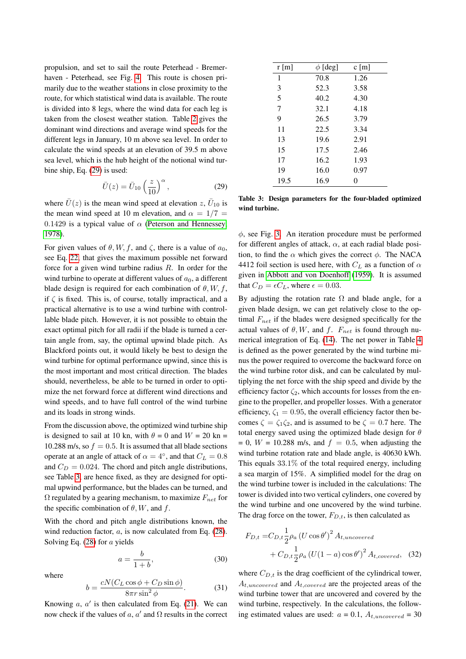propulsion, and set to sail the route Peterhead - Bremerhaven - Peterhead, see Fig. [4.](#page-5-0) This route is chosen primarily due to the weather stations in close proximity to the route, for which statistical wind data is available. The route is divided into 8 legs, where the wind data for each leg is taken from the closest weather station. Table [2](#page-6-0) gives the dominant wind directions and average wind speeds for the different legs in January, 10 m above sea level. In order to calculate the wind speeds at an elevation of 39.5 m above sea level, which is the hub height of the notional wind turbine ship, Eq. [\(29\)](#page-4-0) is used:

<span id="page-4-0"></span>
$$
\bar{U}(z) = \bar{U}_{10} \left(\frac{z}{10}\right)^{\alpha},\tag{29}
$$

where  $\bar{U}(z)$  is the mean wind speed at elevation  $z, \bar{U}_{10}$  is the mean wind speed at 10 m elevation, and  $\alpha = 1/7$  = 0.1429 is a typical value of  $\alpha$  [\(Peterson and Hennessey,](#page-9-2) [1978\)](#page-9-2).

For given values of  $\theta$ , W, f, and  $\zeta$ , there is a value of  $a_0$ , see Eq. [22,](#page-3-3) that gives the maximum possible net forward force for a given wind turbine radius R. In order for the wind turbine to operate at different values of  $a_0$ , a different blade design is required for each combination of  $\theta$ , W, f, if  $\zeta$  is fixed. This is, of course, totally impractical, and a practical alternative is to use a wind turbine with controllable blade pitch. However, it is not possible to obtain the exact optimal pitch for all radii if the blade is turned a certain angle from, say, the optimal upwind blade pitch. As Blackford points out, it would likely be best to design the wind turbine for optimal performance upwind, since this is the most important and most critical direction. The blades should, nevertheless, be able to be turned in order to optimize the net forward force at different wind directions and wind speeds, and to have full control of the wind turbine and its loads in strong winds.

From the discussion above, the optimized wind turbine ship is designed to sail at 10 kn, with  $\theta = 0$  and  $W = 20$  kn = 10.288 m/s, so  $f = 0.5$ . It is assumed that all blade sections operate at an angle of attack of  $\alpha = 4^{\circ}$ , and that  $C_L = 0.8$ and  $C_D = 0.024$ . The chord and pitch angle distributions, see Table [3,](#page-4-1) are hence fixed, as they are designed for optimal upwind performance, but the blades can be turned, and  $\Omega$  regulated by a gearing mechanism, to maximize  $F_{net}$  for the specific combination of  $\theta$ , W, and f.

With the chord and pitch angle distributions known, the wind reduction factor, a, is now calculated from Eq.  $(28)$ . Solving Eq. [\(28\)](#page-3-7) for a yields

$$
a = \frac{b}{1+b},\tag{30}
$$

where

$$
b = \frac{cN(C_L \cos \phi + C_D \sin \phi)}{8\pi r \sin^2 \phi}.
$$
 (31)

Knowing  $a, a'$  is then calculated from Eq. [\(21\)](#page-3-4). We can now check if the values of a, a' and  $\Omega$  results in the correct

<span id="page-4-1"></span>

| $r \, \text{m}$ | $\phi$ [deg] | c[m] |
|-----------------|--------------|------|
| $\mathbf{1}$    | 70.8         | 1.26 |
| 3               | 52.3         | 3.58 |
| 5               | 40.2         | 4.30 |
| 7               | 32.1         | 4.18 |
| 9               | 26.5         | 3.79 |
| 11              | 22.5         | 3.34 |
| 13              | 19.6         | 2.91 |
| 15              | 17.5         | 2.46 |
| 17              | 16.2         | 1.93 |
| 19              | 16.0         | 0.97 |
| 19.5            | 16.9         | 0    |

Table 3: Design parameters for the four-bladed optimized wind turbine.

 $\phi$ , see Fig. [3.](#page-2-1) An iteration procedure must be performed for different angles of attack,  $\alpha$ , at each radial blade position, to find the  $\alpha$  which gives the correct  $\phi$ . The NACA 4412 foil section is used here, with  $C<sub>L</sub>$  as a function of  $\alpha$ given in [Abbott and von Doenhoff](#page-8-5) [\(1959\)](#page-8-5). It is assumed that  $C_D = \epsilon C_L$ , where  $\epsilon = 0.03$ .

By adjusting the rotation rate  $\Omega$  and blade angle, for a given blade design, we can get relatively close to the optimal  $F_{net}$  if the blades were designed specifically for the actual values of  $\theta$ , W, and f.  $F_{net}$  is found through numerical integration of Eq. [\(14\)](#page-3-8). The net power in Table [4](#page-7-0) is defined as the power generated by the wind turbine minus the power required to overcome the backward force on the wind turbine rotor disk, and can be calculated by multiplying the net force with the ship speed and divide by the efficiency factor  $\zeta_2$ , which accounts for losses from the engine to the propeller, and propeller losses. With a generator efficiency,  $\zeta_1 = 0.95$ , the overall efficiency factor then becomes  $\zeta = \zeta_1 \zeta_2$ , and is assumed to be  $\zeta = 0.7$  here. The total energy saved using the optimized blade design for  $\theta$  $= 0$ ,  $W = 10.288$  m/s, and  $f = 0.5$ , when adjusting the wind turbine rotation rate and blade angle, is 40630 kWh. This equals 33.1% of the total required energy, including a sea margin of 15%. A simplified model for the drag on the wind turbine tower is included in the calculations: The tower is divided into two vertical cylinders, one covered by the wind turbine and one uncovered by the wind turbine. The drag force on the tower,  $F_{D,t}$ , is then calculated as

$$
F_{D,t} = C_{D,t} \frac{1}{2} \rho_a (U \cos \theta')^2 A_{t,uncovered} + C_{D,t} \frac{1}{2} \rho_a (U(1-a) \cos \theta')^2 A_{t,covered},
$$
 (32)

where  $C_{D,t}$  is the drag coefficient of the cylindrical tower,  $A_{t,uncovered}$  and  $A_{t,covered}$  are the projected areas of the wind turbine tower that are uncovered and covered by the wind turbine, respectively. In the calculations, the following estimated values are used:  $a = 0.1$ ,  $A_t$ <sub>uncovered</sub> = 30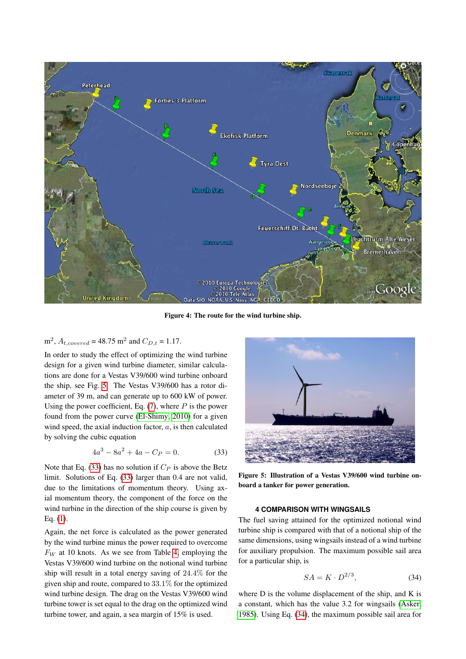<span id="page-5-0"></span>

Figure 4: The route for the wind turbine ship.

# $m^2$ ,  $A_{t, covered} = 48.75$  m<sup>2</sup> and  $C_{D,t} = 1.17$ .

In order to study the effect of optimizing the wind turbine design for a given wind turbine diameter, similar calculations are done for a Vestas V39/600 wind turbine onboard the ship, see Fig. [5.](#page-5-1) The Vestas V39/600 has a rotor diameter of 39 m, and can generate up to 600 kW of power. Using the power coefficient, Eq.  $(7)$ , where P is the power found from the power curve [\(El-Shimy, 2010\)](#page-8-6) for a given wind speed, the axial induction factor,  $a$ , is then calculated by solving the cubic equation

<span id="page-5-2"></span>
$$
4a^3 - 8a^2 + 4a - C_P = 0.
$$
 (33)

Note that Eq. [\(33\)](#page-5-2) has no solution if  $C_P$  is above the Betz limit. Solutions of Eq. [\(33\)](#page-5-2) larger than 0.4 are not valid, due to the limitations of momentum theory. Using axial momentum theory, the component of the force on the wind turbine in the direction of the ship course is given by Eq. [\(1\)](#page-1-8).

Again, the net force is calculated as the power generated by the wind turbine minus the power required to overcome  $F_W$  at 10 knots. As we see from Table [4,](#page-7-0) employing the Vestas V39/600 wind turbine on the notional wind turbine ship will result in a total energy saving of 24.4% for the given ship and route, compared to 33.1% for the optimized wind turbine design. The drag on the Vestas V39/600 wind turbine tower is set equal to the drag on the optimized wind turbine tower, and again, a sea margin of 15% is used.

<span id="page-5-1"></span>

Figure 5: Illustration of a Vestas V39/600 wind turbine onboard a tanker for power generation.

# **4 COMPARISON WITH WINGSAILS**

The fuel saving attained for the optimized notional wind turbine ship is compared with that of a notional ship of the same dimensions, using wingsails instead of a wind turbine for auxiliary propulsion. The maximum possible sail area for a particular ship, is

<span id="page-5-3"></span>
$$
SA = K \cdot D^{2/3},\tag{34}
$$

where D is the volume displacement of the ship, and K is a constant, which has the value 3.2 for wingsails [\(Asker,](#page-8-7) [1985\)](#page-8-7). Using Eq. [\(34\)](#page-5-3), the maximum possible sail area for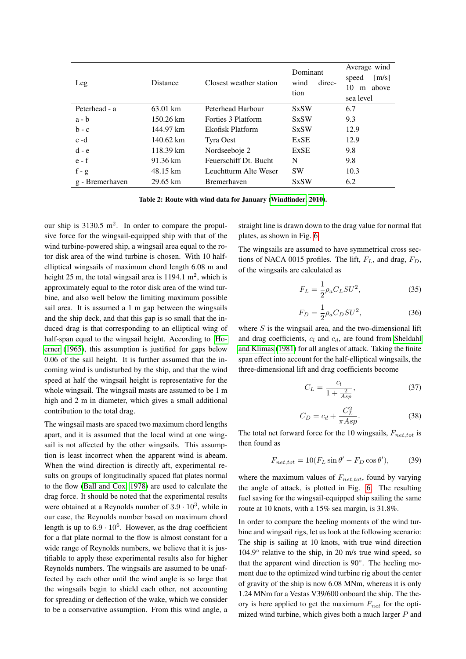<span id="page-6-0"></span>

| Leg             | <b>Distance</b>     | Closest weather station | Dominant<br>direc-<br>wind<br>tion | Average wind<br>[m/s]<br>speed<br>above<br>10<br>m<br>sea level |
|-----------------|---------------------|-------------------------|------------------------------------|-----------------------------------------------------------------|
| Peterhead - a   | 63.01 km            | Peterhead Harbour       | <b>SxSW</b>                        | 6.7                                                             |
| $a - b$         | $150.26 \text{ km}$ | Forties 3 Platform      | <b>SxSW</b>                        | 9.3                                                             |
| $b - c$         | 144.97 km           | Ekofisk Platform        | <b>SxSW</b>                        | 12.9                                                            |
| $c - d$         | 140.62 km           | Tyra Oest               | ExSE                               | 12.9                                                            |
| $d - e$         | 118.39 km           | Nordseeboje 2           | <b>ExSE</b>                        | 9.8                                                             |
| $e - f$         | 91.36 km            | Feuerschiff Dt. Bucht   | N                                  | 9.8                                                             |
| $f - g$         | 48.15 km            | Leuchtturm Alte Weser   | <b>SW</b>                          | 10.3                                                            |
| g - Bremerhaven | $29.65 \text{ km}$  | <b>Bremerhaven</b>      | <b>SxSW</b>                        | 6.2                                                             |

Table 2: Route with wind data for January [\(Windfinder, 2010\)](#page-9-3).

our ship is  $3130.5 \text{ m}^2$ . In order to compare the propulsive force for the wingsail-equipped ship with that of the wind turbine-powered ship, a wingsail area equal to the rotor disk area of the wind turbine is chosen. With 10 halfelliptical wingsails of maximum chord length 6.08 m and height 25 m, the total wingsail area is  $1194.1 \text{ m}^2$ , which is approximately equal to the rotor disk area of the wind turbine, and also well below the limiting maximum possible sail area. It is assumed a 1 m gap between the wingsails and the ship deck, and that this gap is so small that the induced drag is that corresponding to an elliptical wing of half-span equal to the wingsail height. According to [Ho](#page-8-8)[erner](#page-8-8) [\(1965\)](#page-8-8), this assumption is justified for gaps below 0.06 of the sail height. It is further assumed that the incoming wind is undisturbed by the ship, and that the wind speed at half the wingsail height is representative for the whole wingsail. The wingsail masts are assumed to be 1 m high and 2 m in diameter, which gives a small additional contribution to the total drag.

The wingsail masts are spaced two maximum chord lengths apart, and it is assumed that the local wind at one wingsail is not affected by the other wingsails. This assumption is least incorrect when the apparent wind is abeam. When the wind direction is directly aft, experimental results on groups of longitudinally spaced flat plates normal to the flow [\(Ball and Cox, 1978\)](#page-8-9) are used to calculate the drag force. It should be noted that the experimental results were obtained at a Reynolds number of  $3.9 \cdot 10^3$ , while in our case, the Reynolds number based on maximum chord length is up to  $6.9 \cdot 10^6$ . However, as the drag coefficient for a flat plate normal to the flow is almost constant for a wide range of Reynolds numbers, we believe that it is justifiable to apply these experimental results also for higher Reynolds numbers. The wingsails are assumed to be unaffected by each other until the wind angle is so large that the wingsails begin to shield each other, not accounting for spreading or deflection of the wake, which we consider to be a conservative assumption. From this wind angle, a

straight line is drawn down to the drag value for normal flat plates, as shown in Fig. [6.](#page-7-1)

The wingsails are assumed to have symmetrical cross sections of NACA 0015 profiles. The lift,  $F_L$ , and drag,  $F_D$ , of the wingsails are calculated as

$$
F_L = \frac{1}{2} \rho_a C_L S U^2,\tag{35}
$$

$$
F_D = \frac{1}{2} \rho_a C_D S U^2,\tag{36}
$$

where  $S$  is the wingsail area, and the two-dimensional lift and drag coefficients,  $c_l$  and  $c_d$ , are found from [Sheldahl](#page-9-4) [and Klimas](#page-9-4) [\(1981\)](#page-9-4) for all angles of attack. Taking the finite span effect into account for the half-elliptical wingsails, the three-dimensional lift and drag coefficients become

$$
C_L = \frac{c_l}{1 + \frac{2}{Asp}},\tag{37}
$$

$$
C_D = c_d + \frac{C_L^2}{\pi A s p}.\tag{38}
$$

The total net forward force for the 10 wingsails,  $F_{net\ tot}$  is then found as

$$
F_{net,tot} = 10(F_L \sin \theta' - F_D \cos \theta'),\tag{39}
$$

where the maximum values of  $F_{net,tot}$ , found by varying the angle of attack, is plotted in Fig. [6.](#page-7-1) The resulting fuel saving for the wingsail-equipped ship sailing the same route at 10 knots, with a 15% sea margin, is 31.8%.

In order to compare the heeling moments of the wind turbine and wingsail rigs, let us look at the following scenario: The ship is sailing at 10 knots, with true wind direction 104.9° relative to the ship, in 20 m/s true wind speed, so that the apparent wind direction is 90°. The heeling moment due to the optimized wind turbine rig about the center of gravity of the ship is now 6.08 MNm, whereas it is only 1.24 MNm for a Vestas V39/600 onboard the ship. The theory is here applied to get the maximum  $F_{net}$  for the optimized wind turbine, which gives both a much larger  $P$  and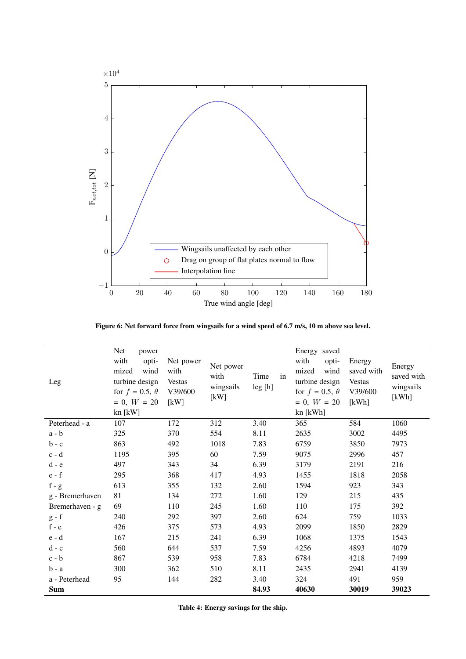<span id="page-7-1"></span>

Figure 6: Net forward force from wingsails for a wind speed of 6.7 m/s, 10 m above sea level.

<span id="page-7-0"></span>

| Leg                       | Net<br>power<br>with<br>opti-<br>mized<br>wind<br>turbine design<br>for $f = 0.5$ , $\theta$<br>$= 0, W = 20$<br>$kn$ [ $kW$ ] | Net power<br>with<br><b>Vestas</b><br>V39/600<br>[kW] | Net power<br>with<br>wingsails<br>[kW] | Time<br>in<br>leg[h] | Energy saved<br>with<br>opti-<br>mized<br>wind<br>turbine design<br>for $f = 0.5$ , $\theta$<br>$= 0, W = 20$<br>kn [kWh] | Energy<br>saved with<br><b>Vestas</b><br>V39/600<br>[kWh] | Energy<br>saved with<br>wingsails<br>[kWh] |
|---------------------------|--------------------------------------------------------------------------------------------------------------------------------|-------------------------------------------------------|----------------------------------------|----------------------|---------------------------------------------------------------------------------------------------------------------------|-----------------------------------------------------------|--------------------------------------------|
| Peterhead - a             | 107                                                                                                                            | 172                                                   | 312                                    | 3.40                 | 365                                                                                                                       | 584                                                       | 1060                                       |
| $a - b$                   | 325                                                                                                                            | 370                                                   | 554                                    | 8.11                 | 2635                                                                                                                      | 3002                                                      | 4495                                       |
| $b - c$                   | 863                                                                                                                            | 492                                                   | 1018                                   | 7.83                 | 6759                                                                                                                      | 3850                                                      | 7973                                       |
| $c - d$                   | 1195                                                                                                                           | 395                                                   | 60                                     | 7.59                 | 9075                                                                                                                      | 2996                                                      | 457                                        |
| $d - e$                   | 497                                                                                                                            | 343                                                   | 34                                     | 6.39                 | 3179                                                                                                                      | 2191                                                      | 216                                        |
| $e - f$                   | 295                                                                                                                            | 368                                                   | 417                                    | 4.93                 | 1455                                                                                                                      | 1818                                                      | 2058                                       |
| $f - g$                   | 613                                                                                                                            | 355                                                   | 132                                    | 2.60                 | 1594                                                                                                                      | 923                                                       | 343                                        |
| g - Bremerhaven           | 81                                                                                                                             | 134                                                   | 272                                    | 1.60                 | 129                                                                                                                       | 215                                                       | 435                                        |
| Bremerhaven - g           | 69                                                                                                                             | 110                                                   | 245                                    | 1.60                 | 110                                                                                                                       | 175                                                       | 392                                        |
| $g - f$                   | 240                                                                                                                            | 292                                                   | 397                                    | 2.60                 | 624                                                                                                                       | 759                                                       | 1033                                       |
| $\mathbf f$ - $\mathbf e$ | 426                                                                                                                            | 375                                                   | 573                                    | 4.93                 | 2099                                                                                                                      | 1850                                                      | 2829                                       |
| $e - d$                   | 167                                                                                                                            | 215                                                   | 241                                    | 6.39                 | 1068                                                                                                                      | 1375                                                      | 1543                                       |
| $d - c$                   | 560                                                                                                                            | 644                                                   | 537                                    | 7.59                 | 4256                                                                                                                      | 4893                                                      | 4079                                       |
| $c - b$                   | 867                                                                                                                            | 539                                                   | 958                                    | 7.83                 | 6784                                                                                                                      | 4218                                                      | 7499                                       |
| $b - a$                   | 300                                                                                                                            | 362                                                   | 510                                    | 8.11                 | 2435                                                                                                                      | 2941                                                      | 4139                                       |
| a - Peterhead             | 95                                                                                                                             | 144                                                   | 282                                    | 3.40                 | 324                                                                                                                       | 491                                                       | 959                                        |
| <b>Sum</b>                |                                                                                                                                |                                                       |                                        | 84.93                | 40630                                                                                                                     | 30019                                                     | 39023                                      |

Table 4: Energy savings for the ship.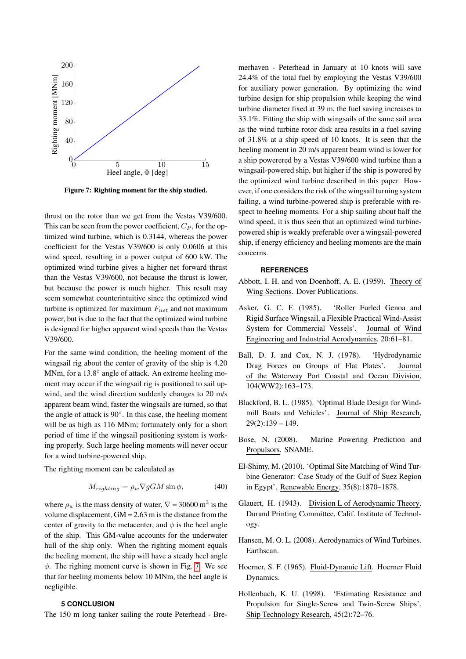<span id="page-8-10"></span>

Figure 7: Righting moment for the ship studied.

thrust on the rotor than we get from the Vestas V39/600. This can be seen from the power coefficient,  $C_P$ , for the optimized wind turbine, which is 0.3144, whereas the power coefficient for the Vestas V39/600 is only 0.0606 at this wind speed, resulting in a power output of 600 kW. The optimized wind turbine gives a higher net forward thrust than the Vestas V39/600, not because the thrust is lower, but because the power is much higher. This result may seem somewhat counterintuitive since the optimized wind turbine is optimized for maximum  $F_{net}$  and not maximum power, but is due to the fact that the optimized wind turbine is designed for higher apparent wind speeds than the Vestas V39/600.

For the same wind condition, the heeling moment of the wingsail rig about the center of gravity of the ship is 4.20 MNm, for a 13.8° angle of attack. An extreme heeling moment may occur if the wingsail rig is positioned to sail upwind, and the wind direction suddenly changes to 20 m/s apparent beam wind, faster the wingsails are turned, so that the angle of attack is 90◦ . In this case, the heeling moment will be as high as 116 MNm; fortunately only for a short period of time if the wingsail positioning system is working properly. Such large heeling moments will never occur for a wind turbine-powered ship.

The righting moment can be calculated as

$$
M_{righting} = \rho_w \nabla gGM \sin \phi, \qquad (40)
$$

where  $\rho_w$  is the mass density of water,  $\nabla = 30600 \text{ m}^3$  is the volume displacement,  $GM = 2.63$  m is the distance from the center of gravity to the metacenter, and  $\phi$  is the heel angle of the ship. This GM-value accounts for the underwater hull of the ship only. When the righting moment equals the heeling moment, the ship will have a steady heel angle  $\phi$ . The righing moment curve is shown in Fig. [7.](#page-8-10) We see that for heeling moments below 10 MNm, the heel angle is negligible.

# **5 CONCLUSION**

The 150 m long tanker sailing the route Peterhead - Bre-

merhaven - Peterhead in January at 10 knots will save 24.4% of the total fuel by employing the Vestas V39/600 for auxiliary power generation. By optimizing the wind turbine design for ship propulsion while keeping the wind turbine diameter fixed at 39 m, the fuel saving increases to 33.1%. Fitting the ship with wingsails of the same sail area as the wind turbine rotor disk area results in a fuel saving of 31.8% at a ship speed of 10 knots. It is seen that the heeling moment in 20 m/s apparent beam wind is lower for a ship powerered by a Vestas V39/600 wind turbine than a wingsail-powered ship, but higher if the ship is powered by the optimized wind turbine described in this paper. However, if one considers the risk of the wingsail turning system failing, a wind turbine-powered ship is preferable with respect to heeling moments. For a ship sailing about half the wind speed, it is thus seen that an optimized wind turbinepowered ship is weakly preferable over a wingsail-powered ship, if energy efficiency and heeling moments are the main concerns.

#### **REFERENCES**

- <span id="page-8-5"></span>Abbott, I. H. and von Doenhoff, A. E. (1959). Theory of Wing Sections. Dover Publications.
- <span id="page-8-7"></span>Asker, G. C. F. (1985). 'Roller Furled Genoa and Rigid Surface Wingsail, a Flexible Practical Wind-Assist System for Commercial Vessels'. Journal of Wind Engineering and Industrial Aerodynamics, 20:61–81.
- <span id="page-8-9"></span>Ball, D. J. and Cox, N. J. (1978). 'Hydrodynamic Drag Forces on Groups of Flat Plates'. Journal of the Waterway Port Coastal and Ocean Division, 104(WW2):163–173.
- <span id="page-8-1"></span>Blackford, B. L. (1985). 'Optimal Blade Design for Windmill Boats and Vehicles'. Journal of Ship Research, 29(2):139 – 149.
- <span id="page-8-0"></span>Bose, N. (2008). Marine Powering Prediction and Propulsors. SNAME.
- <span id="page-8-6"></span>El-Shimy, M. (2010). 'Optimal Site Matching of Wind Turbine Generator: Case Study of the Gulf of Suez Region in Egypt'. Renewable Energy, 35(8):1870–1878.
- <span id="page-8-4"></span>Glauert, H. (1943). Division L of Aerodynamic Theory. Durand Printing Committee, Calif. Institute of Technology.
- <span id="page-8-3"></span>Hansen, M. O. L. (2008). Aerodynamics of Wind Turbines. Earthscan.
- <span id="page-8-8"></span>Hoerner, S. F. (1965). Fluid-Dynamic Lift. Hoerner Fluid Dynamics.
- <span id="page-8-2"></span>Hollenbach, K. U. (1998). 'Estimating Resistance and Propulsion for Single-Screw and Twin-Screw Ships'. Ship Technology Research, 45(2):72–76.